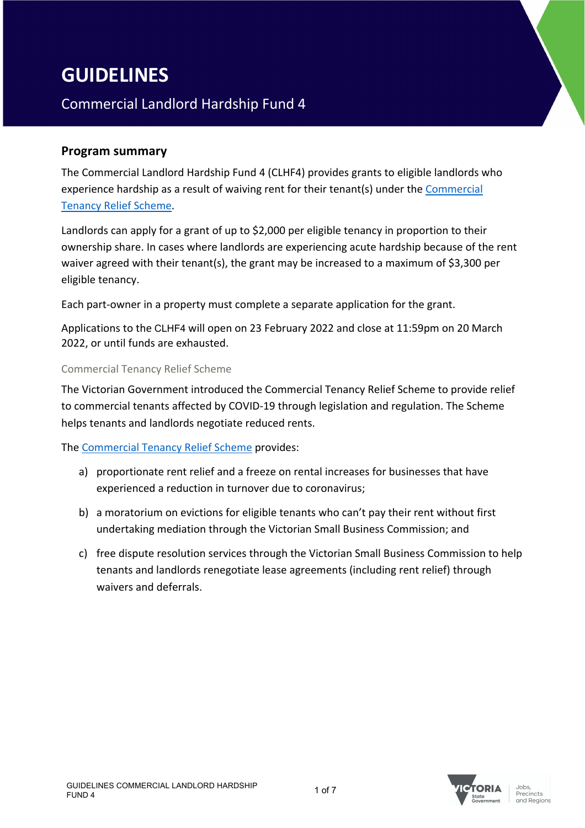# **GUIDELINES**

## Commercial Landlord Hardship Fund 4

## **Program summary**

The Commercial Landlord Hardship Fund 4 (CLHF4) provides grants to eligible landlords who experience hardship as a result of waiving rent for their tenant(s) under the Commercial Tenancy Relief Scheme.

Landlords can apply for a grant of up to \$2,000 per eligible tenancy in proportion to their ownership share. In cases where landlords are experiencing acute hardship because of the rent waiver agreed with their tenant(s), the grant may be increased to a maximum of \$3,300 per eligible tenancy.

Each part-owner in a property must complete a separate application for the grant.

Applications to the CLHF4 will open on 23 February 2022 and close at 11:59pm on 20 March 2022, or until funds are exhausted.

#### Commercial Tenancy Relief Scheme

The Victorian Government introduced the Commercial Tenancy Relief Scheme to provide relief to commercial tenants affected by COVID-19 through legislation and regulation. The Scheme helps tenants and landlords negotiate reduced rents.

The Commercial Tenancy Relief Scheme provides:

- a) proportionate rent relief and a freeze on rental increases for businesses that have experienced a reduction in turnover due to coronavirus;
- b) a moratorium on evictions for eligible tenants who can't pay their rent without first undertaking mediation through the Victorian Small Business Commission; and
- c) free dispute resolution services through the Victorian Small Business Commission to help tenants and landlords renegotiate lease agreements (including rent relief) through waivers and deferrals.

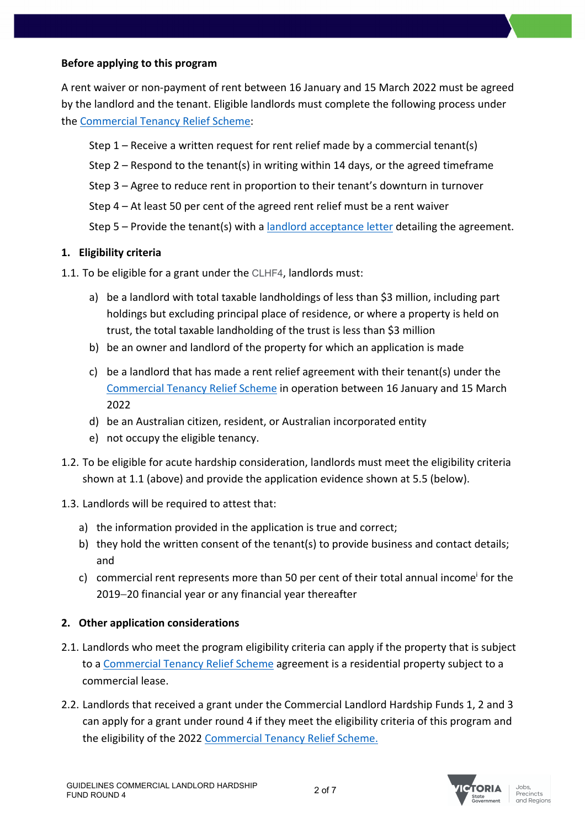## **Before applying to this program**

A rent waiver or non-payment of rent between 16 January and 15 March 2022 must be agreed by the landlord and the tenant. Eligible landlords must complete the following process under the Commercial Tenancy Relief Scheme:

Step 1 – Receive a written request for rent relief made by a commercial tenant(s)

- Step 2 Respond to the tenant(s) in writing within 14 days, or the agreed timeframe
- Step 3 Agree to reduce rent in proportion to their tenant's downturn in turnover
- Step 4 At least 50 per cent of the agreed rent relief must be a rent waiver

Step 5 – Provide the tenant(s) with a landlord acceptance letter detailing the agreement.

## **1. Eligibility criteria**

- 1.1. To be eligible for a grant under the CLHF4, landlords must:
	- a) be a landlord with total taxable landholdings of less than \$3 million, including part holdings but excluding principal place of residence, or where a property is held on trust, the total taxable landholding of the trust is less than \$3 million
	- b) be an owner and landlord of the property for which an application is made
	- c) be a landlord that has made a rent relief agreement with their tenant(s) under the Commercial Tenancy Relief Scheme in operation between 16 January and 15 March 2022
	- d) be an Australian citizen, resident, or Australian incorporated entity
	- e) not occupy the eligible tenancy.
- 1.2. To be eligible for acute hardship consideration, landlords must meet the eligibility criteria shown at 1.1 (above) and provide the application evidence shown at 5.5 (below).
- 1.3. Landlords will be required to attest that:
	- a) the information provided in the application is true and correct;
	- b) they hold the written consent of the tenant(s) to provide business and contact details; and
	- c) commercial rent represents more than 50 per cent of their total annual incomei for the 2019-20 financial year or any financial year thereafter

## **2. Other application considerations**

- 2.1. Landlords who meet the program eligibility criteria can apply if the property that is subject to a Commercial Tenancy Relief Scheme agreement is a residential property subject to a commercial lease.
- 2.2. Landlords that received a grant under the Commercial Landlord Hardship Funds 1, 2 and 3 can apply for a grant under round 4 if they meet the eligibility criteria of this program and the eligibility of the 2022 Commercial Tenancy Relief Scheme.

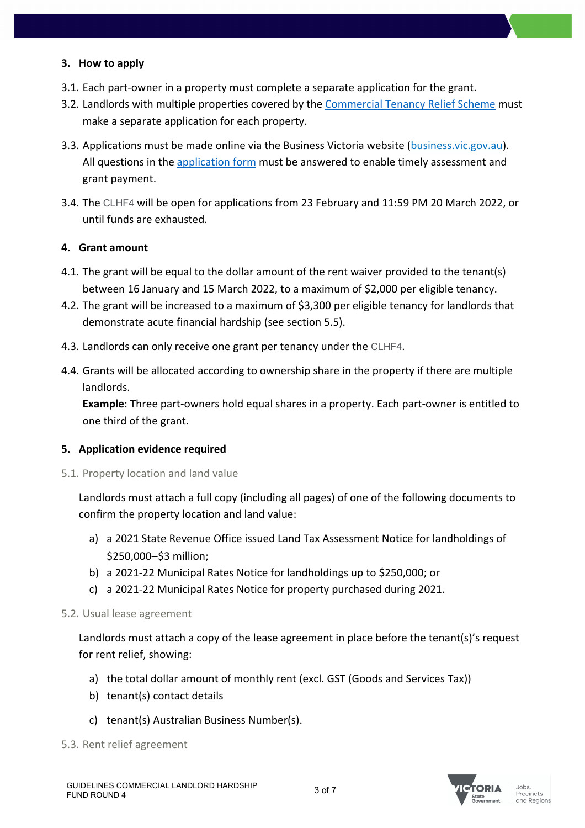## **3. How to apply**

- 3.1. Each part-owner in a property must complete a separate application for the grant.
- 3.2. Landlords with multiple properties covered by the Commercial Tenancy Relief Scheme must make a separate application for each property.
- 3.3. Applications must be made online via the Business Victoria website (business.vic.gov.au). All questions in the application form must be answered to enable timely assessment and grant payment.
- 3.4. The CLHF4 will be open for applications from 23 February and 11:59 PM 20 March 2022, or until funds are exhausted.

## **4. Grant amount**

- 4.1. The grant will be equal to the dollar amount of the rent waiver provided to the tenant(s) between 16 January and 15 March 2022, to a maximum of \$2,000 per eligible tenancy.
- 4.2. The grant will be increased to a maximum of \$3,300 per eligible tenancy for landlords that demonstrate acute financial hardship (see section 5.5).
- 4.3. Landlords can only receive one grant per tenancy under the CLHF4.
- 4.4. Grants will be allocated according to ownership share in the property if there are multiple landlords.

**Example**: Three part-owners hold equal shares in a property. Each part-owner is entitled to one third of the grant.

#### **5. Application evidence required**

5.1. Property location and land value

Landlords must attach a full copy (including all pages) of one of the following documents to confirm the property location and land value:

- a) a 2021 State Revenue Office issued Land Tax Assessment Notice for landholdings of \$250,000-\$3 million;
- b) a 2021-22 Municipal Rates Notice for landholdings up to \$250,000; or
- c) a 2021-22 Municipal Rates Notice for property purchased during 2021.

#### 5.2. Usual lease agreement

Landlords must attach a copy of the lease agreement in place before the tenant(s)'s request for rent relief, showing:

- a) the total dollar amount of monthly rent (excl. GST (Goods and Services Tax))
- b) tenant(s) contact details
- c) tenant(s) Australian Business Number(s).
- 5.3. Rent relief agreement



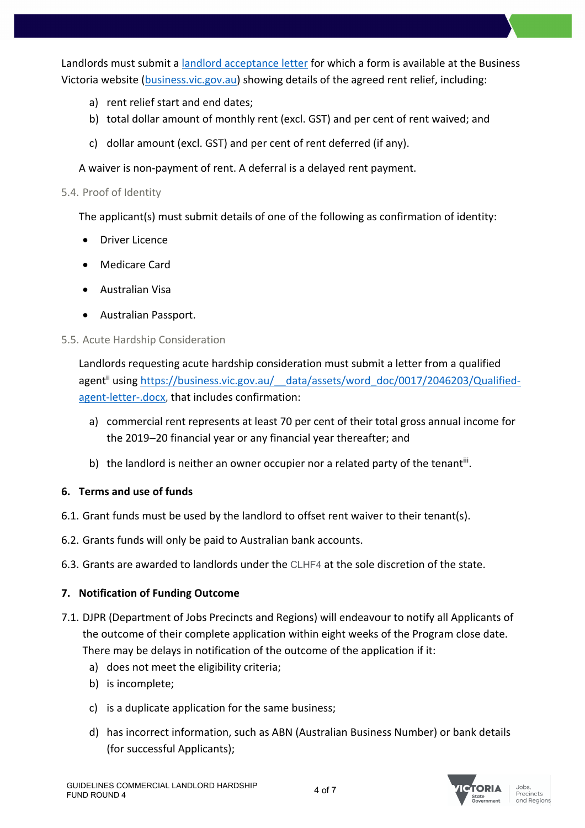Landlords must submit a landlord acceptance letter for which a form is available at the Business Victoria website (business.vic.gov.au) showing details of the agreed rent relief, including:

- a) rent relief start and end dates;
- b) total dollar amount of monthly rent (excl. GST) and per cent of rent waived; and
- c) dollar amount (excl. GST) and per cent of rent deferred (if any).

A waiver is non-payment of rent. A deferral is a delayed rent payment.

## 5.4. Proof of Identity

The applicant(s) must submit details of one of the following as confirmation of identity:

- Driver Licence
- Medicare Card
- Australian Visa
- Australian Passport.

## 5.5. Acute Hardship Consideration

Landlords requesting acute hardship consideration must submit a letter from a qualified agent<sup>ii</sup> using https://business.vic.gov.au/ data/assets/word\_doc/0017/2046203/Qualifiedagent-letter-.docx, that includes confirmation:

- a) commercial rent represents at least 70 per cent of their total gross annual income for the 2019-20 financial year or any financial year thereafter; and
- b) the landlord is neither an owner occupier nor a related party of the tenant<sup>iii</sup>.

## **6. Terms and use of funds**

- 6.1. Grant funds must be used by the landlord to offset rent waiver to their tenant(s).
- 6.2. Grants funds will only be paid to Australian bank accounts.
- 6.3. Grants are awarded to landlords under the CLHF4 at the sole discretion of the state.

## **7. Notification of Funding Outcome**

- 7.1. DJPR (Department of Jobs Precincts and Regions) will endeavour to notify all Applicants of the outcome of their complete application within eight weeks of the Program close date. There may be delays in notification of the outcome of the application if it:
	- a) does not meet the eligibility criteria;
	- b) is incomplete;
	- c) is a duplicate application for the same business;
	- d) has incorrect information, such as ABN (Australian Business Number) or bank details (for successful Applicants);

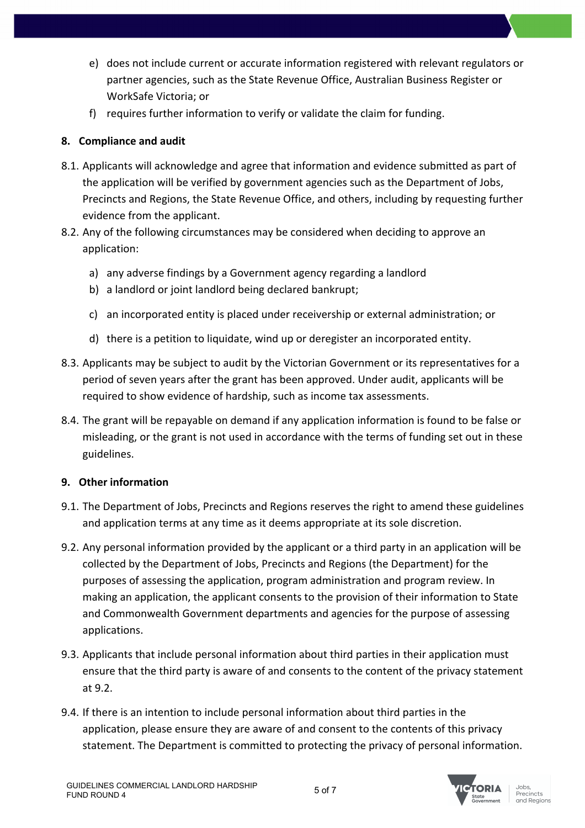- e) does not include current or accurate information registered with relevant regulators or partner agencies, such as the State Revenue Office, Australian Business Register or WorkSafe Victoria; or
- f) requires further information to verify or validate the claim for funding.

## **8. Compliance and audit**

- 8.1. Applicants will acknowledge and agree that information and evidence submitted as part of the application will be verified by government agencies such as the Department of Jobs, Precincts and Regions, the State Revenue Office, and others, including by requesting further evidence from the applicant.
- 8.2. Any of the following circumstances may be considered when deciding to approve an application:
	- a) any adverse findings by a Government agency regarding a landlord
	- b) a landlord or joint landlord being declared bankrupt;
	- c) an incorporated entity is placed under receivership or external administration; or
	- d) there is a petition to liquidate, wind up or deregister an incorporated entity.
- 8.3. Applicants may be subject to audit by the Victorian Government or its representatives for a period of seven years after the grant has been approved. Under audit, applicants will be required to show evidence of hardship, such as income tax assessments.
- 8.4. The grant will be repayable on demand if any application information is found to be false or misleading, or the grant is not used in accordance with the terms of funding set out in these guidelines.

## **9. Other information**

- 9.1. The Department of Jobs, Precincts and Regions reserves the right to amend these guidelines and application terms at any time as it deems appropriate at its sole discretion.
- 9.2. Any personal information provided by the applicant or a third party in an application will be collected by the Department of Jobs, Precincts and Regions (the Department) for the purposes of assessing the application, program administration and program review. In making an application, the applicant consents to the provision of their information to State and Commonwealth Government departments and agencies for the purpose of assessing applications.
- 9.3. Applicants that include personal information about third parties in their application must ensure that the third party is aware of and consents to the content of the privacy statement at 9.2.
- 9.4. If there is an intention to include personal information about third parties in the application, please ensure they are aware of and consent to the contents of this privacy statement. The Department is committed to protecting the privacy of personal information.

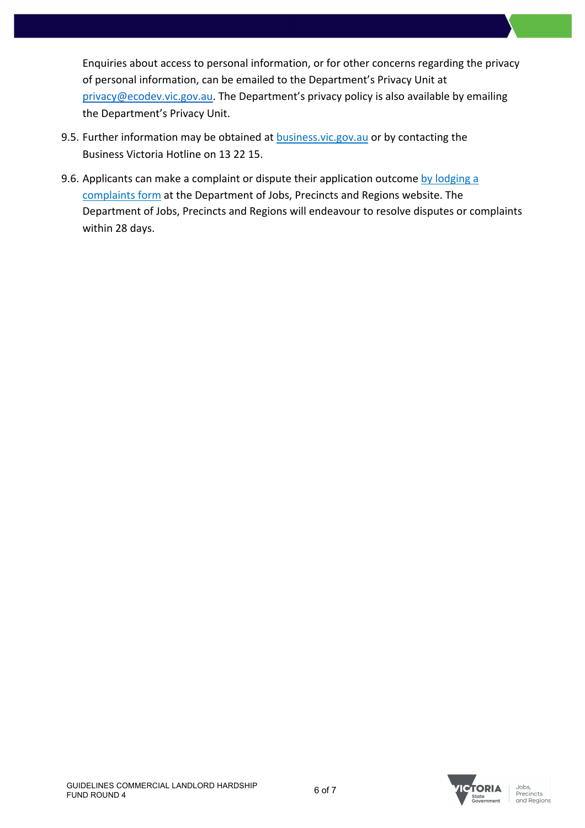Enquiries about access to personal information, or for other concerns regarding the privacy of personal information, can be emailed to the Department's Privacy Unit at privacy@ecodev.vic.gov.au. The Department's privacy policy is also available by emailing the Department's Privacy Unit.

- 9.5. Further information may be obtained at business.vic.gov.au or by contacting the Business Victoria Hotline on 13 22 15.
- 9.6. Applicants can make a complaint or dispute their application outcome by lodging a complaints form at the Department of Jobs, Precincts and Regions website. The Department of Jobs, Precincts and Regions will endeavour to resolve disputes or complaints within 28 days.